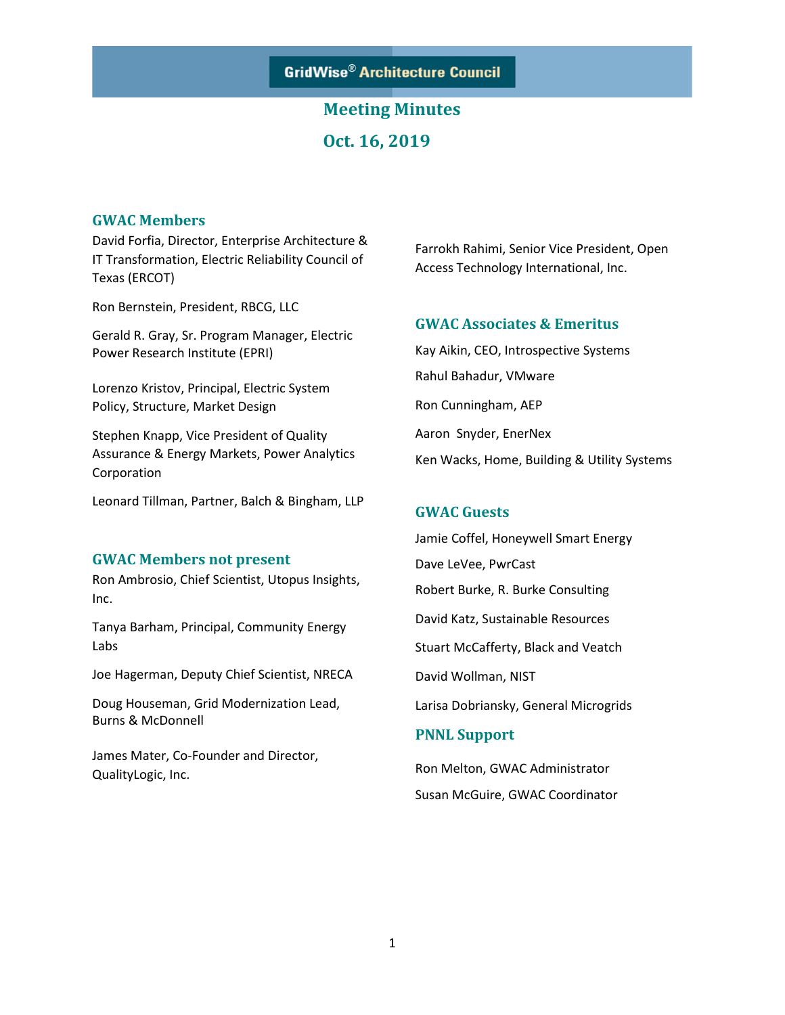**GridWise® Architecture Council** 

## **Meeting Minutes Oct. 16, 2019**

#### **GWAC Members**

David Forfia, Director, Enterprise Architecture & IT Transformation, Electric Reliability Council of Texas (ERCOT)

Ron Bernstein, President, RBCG, LLC

Gerald R. Gray, Sr. Program Manager, Electric Power Research Institute (EPRI)

Lorenzo Kristov, Principal, Electric System Policy, Structure, Market Design

Stephen Knapp, Vice President of Quality Assurance & Energy Markets, Power Analytics Corporation

Leonard Tillman, Partner, Balch & Bingham, LLP

#### **GWAC Members not present**

Ron Ambrosio, Chief Scientist, Utopus Insights, Inc.

Tanya Barham, Principal, Community Energy Labs

Joe Hagerman, Deputy Chief Scientist, NRECA

Doug Houseman, Grid Modernization Lead, Burns & McDonnell

James Mater, Co-Founder and Director, QualityLogic, Inc.

Farrokh Rahimi, Senior Vice President, Open Access Technology International, Inc.

#### **GWAC Associates & Emeritus**

Kay Aikin, CEO, Introspective Systems Rahul Bahadur, VMware Ron Cunningham, AEP Aaron Snyder, EnerNex Ken Wacks, Home, Building & Utility Systems

#### **GWAC Guests**

Jamie Coffel, Honeywell Smart Energy Dave LeVee, PwrCast Robert Burke, R. Burke Consulting David Katz, Sustainable Resources Stuart McCafferty, Black and Veatch David Wollman, NIST Larisa Dobriansky, General Microgrids

#### **PNNL Support**

Ron Melton, GWAC Administrator Susan McGuire, GWAC Coordinator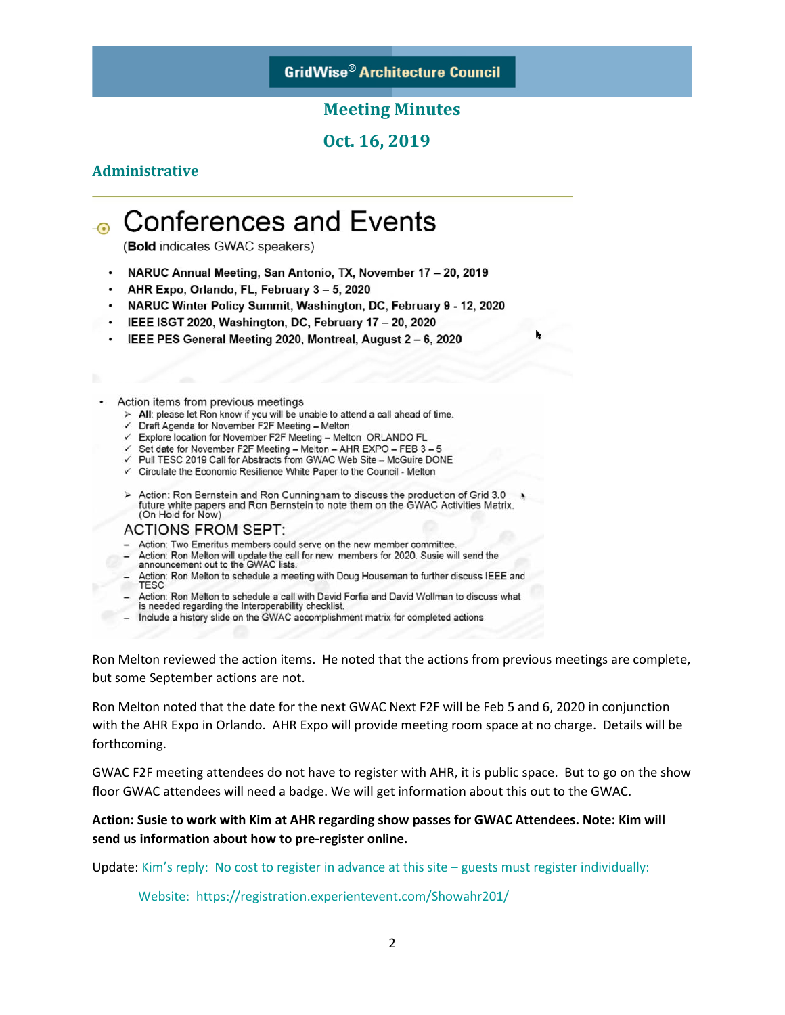### **GridWise® Architecture Council**

#### **Meeting Minutes**

**Oct. 16, 2019** 

#### **Administrative**

# **Conferences and Events**

(Bold indicates GWAC speakers)

- NARUC Annual Meeting, San Antonio, TX, November 17 20, 2019
- AHR Expo, Orlando, FL, February 3 5, 2020
- NARUC Winter Policy Summit, Washington, DC, February 9 12, 2020
- IEEE ISGT 2020, Washington, DC, February 17 20, 2020
- IEEE PES General Meeting 2020, Montreal, August 2 6, 2020

#### Action items from previous meetings

- > All: please let Ron know if you will be unable to attend a call ahead of time.
- ← Draft Agenda for November F2F Meeting Melton
- Explore location for November F2F Meeting Melton ORLANDO FL
- √ Set date for November F2F Meeting Melton AHR EXPO FEB 3 5
- √ Pull TESC 2019 Call for Abstracts from GWAC Web Site McGuire DONE
- ← Circulate the Economic Resilience White Paper to the Council Melton
- > Action: Ron Bernstein and Ron Cunningham to discuss the production of Grid 3.0 future white papers and Ron Bernstein to note them on the GWAC Activities Matrix. (On Hold for Now)

#### **ACTIONS FROM SEPT:**

- Action: Two Emeritus members could serve on the new member committee.
- Action: Ron Melton will update the call for new members for 2020. Susie will send the announcement out to the GWAC lists.
- Action: Ron Melton to schedule a meeting with Doug Houseman to further discuss IEEE and<br>TESC
- Action: Ron Melton to schedule a call with David Forfia and David Wollman to discuss what is needed regarding the Interoperability checklist.
- Include a history slide on the GWAC accomplishment matrix for completed actions

Ron Melton reviewed the action items. He noted that the actions from previous meetings are complete, but some September actions are not.

Ron Melton noted that the date for the next GWAC Next F2F will be Feb 5 and 6, 2020 in conjunction with the AHR Expo in Orlando. AHR Expo will provide meeting room space at no charge. Details will be forthcoming.

GWAC F2F meeting attendees do not have to register with AHR, it is public space. But to go on the show floor GWAC attendees will need a badge. We will get information about this out to the GWAC.

#### **Action: Susie to work with Kim at AHR regarding show passes for GWAC Attendees. Note: Kim will send us information about how to pre-register online.**

Update: Kim's reply: No cost to register in advance at this site – guests must register individually:

Website: <https://registration.experientevent.com/Showahr201/>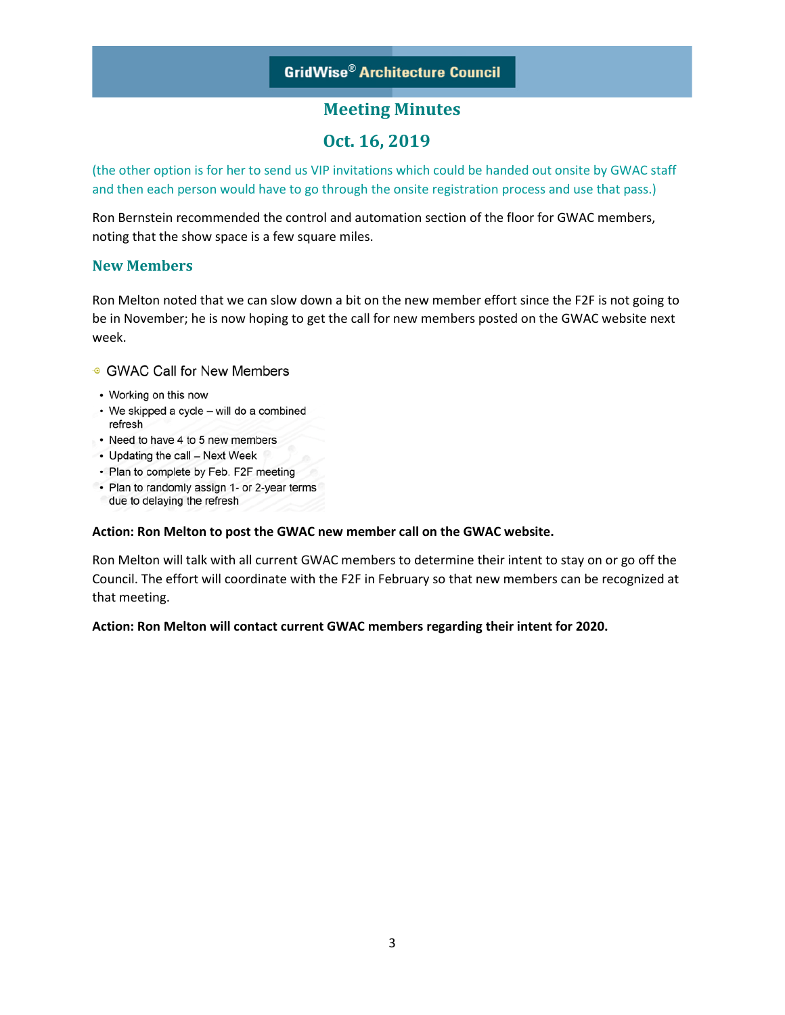## **Oct. 16, 2019**

(the other option is for her to send us VIP invitations which could be handed out onsite by GWAC staff and then each person would have to go through the onsite registration process and use that pass.)

Ron Bernstein recommended the control and automation section of the floor for GWAC members, noting that the show space is a few square miles.

#### **New Members**

Ron Melton noted that we can slow down a bit on the new member effort since the F2F is not going to be in November; he is now hoping to get the call for new members posted on the GWAC website next week.

#### ● GWAC Call for New Members

- Working on this now
- We skipped a cycle will do a combined refresh
- Need to have 4 to 5 new members
- Updating the call Next Week
- Plan to complete by Feb. F2F meeting
- Plan to randomly assign 1- or 2-year terms due to delaying the refresh

#### **Action: Ron Melton to post the GWAC new member call on the GWAC website.**

Ron Melton will talk with all current GWAC members to determine their intent to stay on or go off the Council. The effort will coordinate with the F2F in February so that new members can be recognized at that meeting.

#### **Action: Ron Melton will contact current GWAC members regarding their intent for 2020.**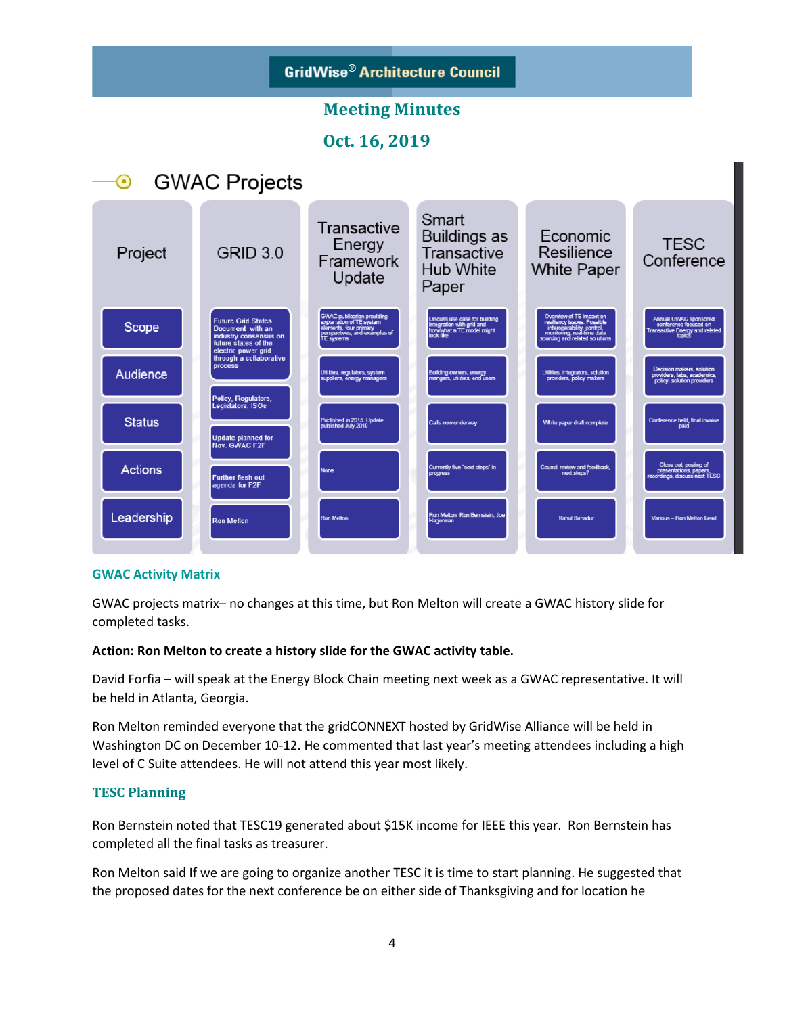

#### **GWAC Activity Matrix**

GWAC projects matrix– no changes at this time, but Ron Melton will create a GWAC history slide for completed tasks.

#### **Action: Ron Melton to create a history slide for the GWAC activity table.**

David Forfia – will speak at the Energy Block Chain meeting next week as a GWAC representative. It will be held in Atlanta, Georgia.

Ron Melton reminded everyone that the gridCONNEXT hosted by GridWise Alliance will be held in Washington DC on December 10-12. He commented that last year's meeting attendees including a high level of C Suite attendees. He will not attend this year most likely.

#### **TESC Planning**

Ron Bernstein noted that TESC19 generated about \$15K income for IEEE this year. Ron Bernstein has completed all the final tasks as treasurer.

Ron Melton said If we are going to organize another TESC it is time to start planning. He suggested that the proposed dates for the next conference be on either side of Thanksgiving and for location he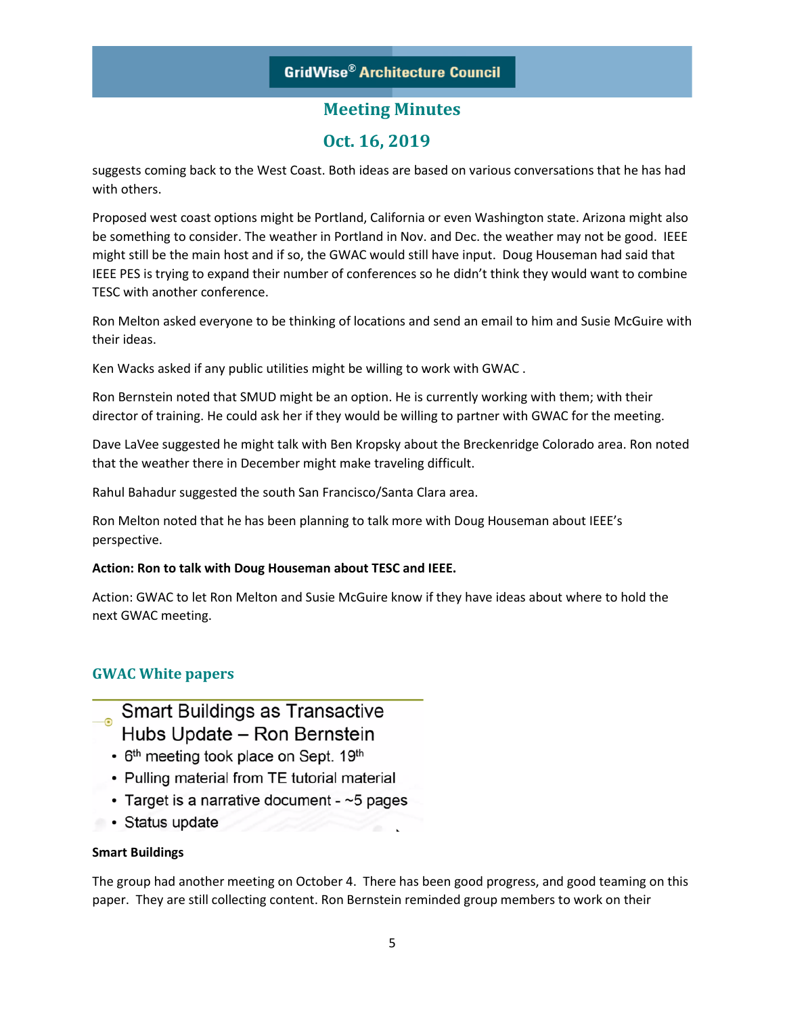## **Oct. 16, 2019**

suggests coming back to the West Coast. Both ideas are based on various conversations that he has had with others.

Proposed west coast options might be Portland, California or even Washington state. Arizona might also be something to consider. The weather in Portland in Nov. and Dec. the weather may not be good. IEEE might still be the main host and if so, the GWAC would still have input. Doug Houseman had said that IEEE PES is trying to expand their number of conferences so he didn't think they would want to combine TESC with another conference.

Ron Melton asked everyone to be thinking of locations and send an email to him and Susie McGuire with their ideas.

Ken Wacks asked if any public utilities might be willing to work with GWAC .

Ron Bernstein noted that SMUD might be an option. He is currently working with them; with their director of training. He could ask her if they would be willing to partner with GWAC for the meeting.

Dave LaVee suggested he might talk with Ben Kropsky about the Breckenridge Colorado area. Ron noted that the weather there in December might make traveling difficult.

Rahul Bahadur suggested the south San Francisco/Santa Clara area.

Ron Melton noted that he has been planning to talk more with Doug Houseman about IEEE's perspective.

#### **Action: Ron to talk with Doug Houseman about TESC and IEEE.**

Action: GWAC to let Ron Melton and Susie McGuire know if they have ideas about where to hold the next GWAC meeting.

## **GWAC White papers**

Smart Buildings as Transactive Hubs Update - Ron Bernstein

- 6<sup>th</sup> meeting took place on Sept. 19<sup>th</sup>
- Pulling material from TE tutorial material
- Target is a narrative document  $\sim$  5 pages
- Status update

#### **Smart Buildings**

The group had another meeting on October 4. There has been good progress, and good teaming on this paper. They are still collecting content. Ron Bernstein reminded group members to work on their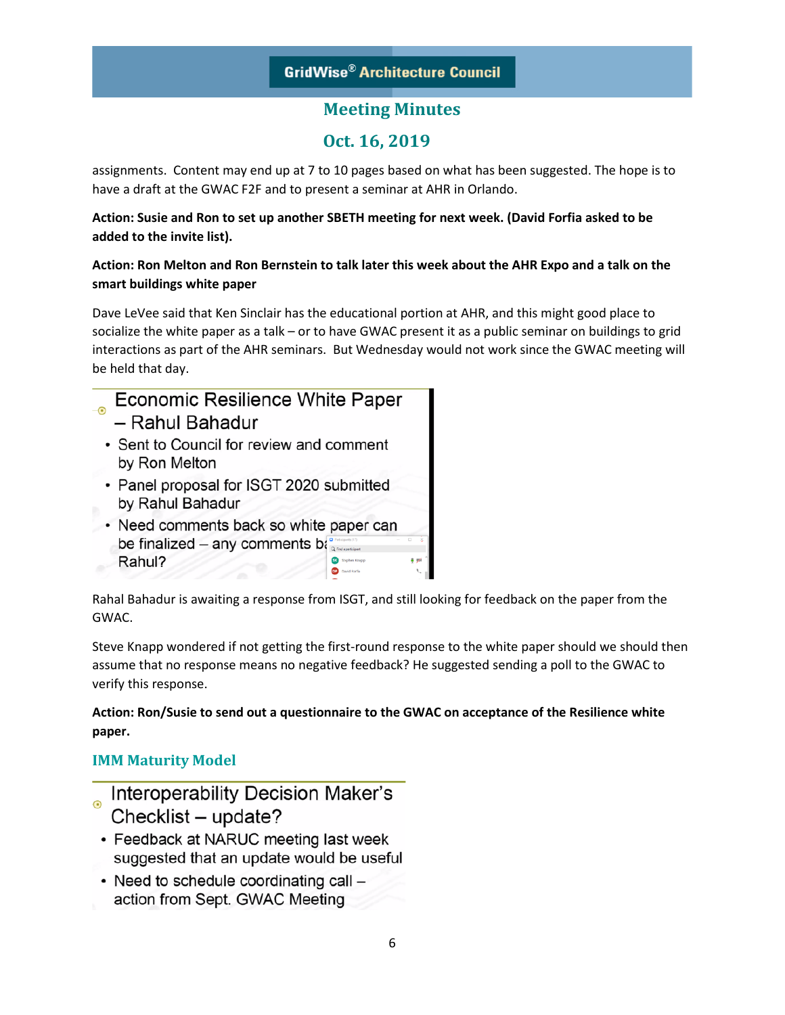## **Oct. 16, 2019**

assignments. Content may end up at 7 to 10 pages based on what has been suggested. The hope is to have a draft at the GWAC F2F and to present a seminar at AHR in Orlando.

#### **Action: Susie and Ron to set up another SBETH meeting for next week. (David Forfia asked to be added to the invite list).**

### **Action: Ron Melton and Ron Bernstein to talk later this week about the AHR Expo and a talk on the smart buildings white paper**

Dave LeVee said that Ken Sinclair has the educational portion at AHR, and this might good place to socialize the white paper as a talk – or to have GWAC present it as a public seminar on buildings to grid interactions as part of the AHR seminars. But Wednesday would not work since the GWAC meeting will be held that day.

- Economic Resilience White Paper  $\Omega$ – Rahul Bahadur • Sent to Council for review and comment
	- by Ron Melton
	- Panel proposal for ISGT 2020 submitted by Rahul Bahadur
	- Need comments back so white paper can be finalized – any comments bag Rahul? **OF** David Forlia

Rahal Bahadur is awaiting a response from ISGT, and still looking for feedback on the paper from the GWAC.

Steve Knapp wondered if not getting the first-round response to the white paper should we should then assume that no response means no negative feedback? He suggested sending a poll to the GWAC to verify this response.

**Action: Ron/Susie to send out a questionnaire to the GWAC on acceptance of the Resilience white paper.**

## **IMM Maturity Model**

- **Interoperability Decision Maker's** Checklist - update?
- Feedback at NARUC meeting last week suggested that an update would be useful
- Need to schedule coordinating call action from Sept. GWAC Meeting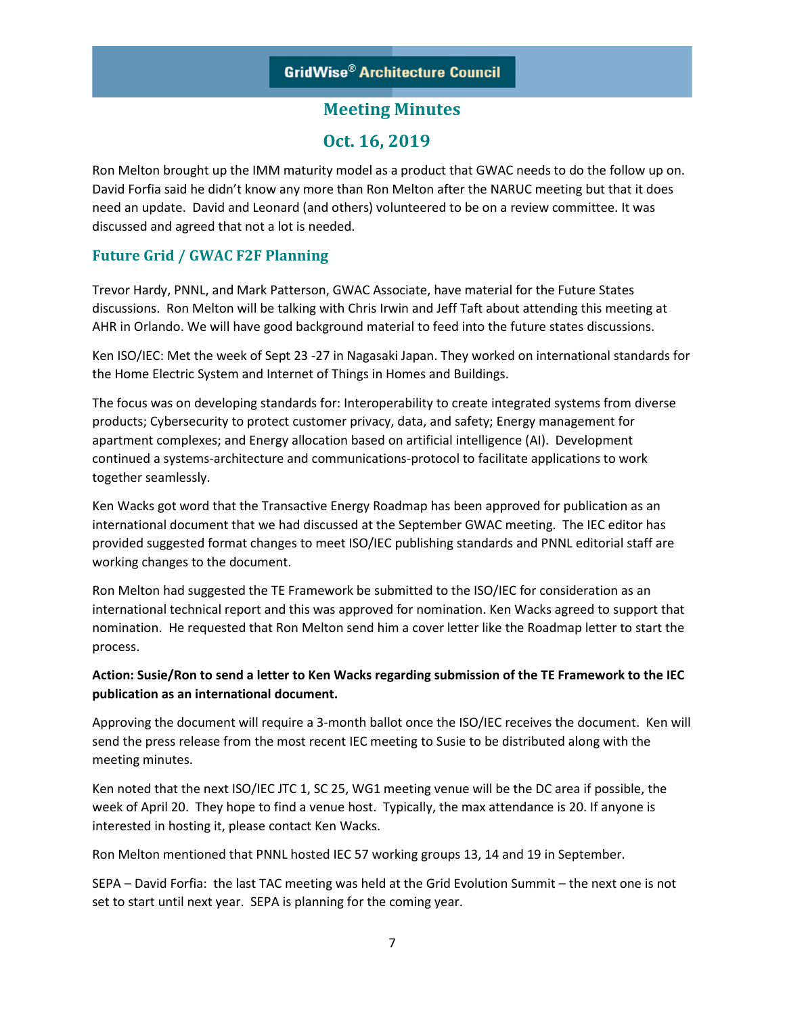## **Oct. 16, 2019**

Ron Melton brought up the IMM maturity model as a product that GWAC needs to do the follow up on. David Forfia said he didn't know any more than Ron Melton after the NARUC meeting but that it does need an update. David and Leonard (and others) volunteered to be on a review committee. It was discussed and agreed that not a lot is needed.

#### **Future Grid / GWAC F2F Planning**

Trevor Hardy, PNNL, and Mark Patterson, GWAC Associate, have material for the Future States discussions. Ron Melton will be talking with Chris Irwin and Jeff Taft about attending this meeting at AHR in Orlando. We will have good background material to feed into the future states discussions.

Ken ISO/IEC: Met the week of Sept 23 -27 in Nagasaki Japan. They worked on international standards for the Home Electric System and Internet of Things in Homes and Buildings.

The focus was on developing standards for: Interoperability to create integrated systems from diverse products; Cybersecurity to protect customer privacy, data, and safety; Energy management for apartment complexes; and Energy allocation based on artificial intelligence (AI). Development continued a systems-architecture and communications-protocol to facilitate applications to work together seamlessly.

Ken Wacks got word that the Transactive Energy Roadmap has been approved for publication as an international document that we had discussed at the September GWAC meeting. The IEC editor has provided suggested format changes to meet ISO/IEC publishing standards and PNNL editorial staff are working changes to the document.

Ron Melton had suggested the TE Framework be submitted to the ISO/IEC for consideration as an international technical report and this was approved for nomination. Ken Wacks agreed to support that nomination. He requested that Ron Melton send him a cover letter like the Roadmap letter to start the process.

#### **Action: Susie/Ron to send a letter to Ken Wacks regarding submission of the TE Framework to the IEC publication as an international document.**

Approving the document will require a 3-month ballot once the ISO/IEC receives the document. Ken will send the press release from the most recent IEC meeting to Susie to be distributed along with the meeting minutes.

Ken noted that the next ISO/IEC JTC 1, SC 25, WG1 meeting venue will be the DC area if possible, the week of April 20. They hope to find a venue host. Typically, the max attendance is 20. If anyone is interested in hosting it, please contact Ken Wacks.

Ron Melton mentioned that PNNL hosted IEC 57 working groups 13, 14 and 19 in September.

SEPA – David Forfia: the last TAC meeting was held at the Grid Evolution Summit – the next one is not set to start until next year. SEPA is planning for the coming year.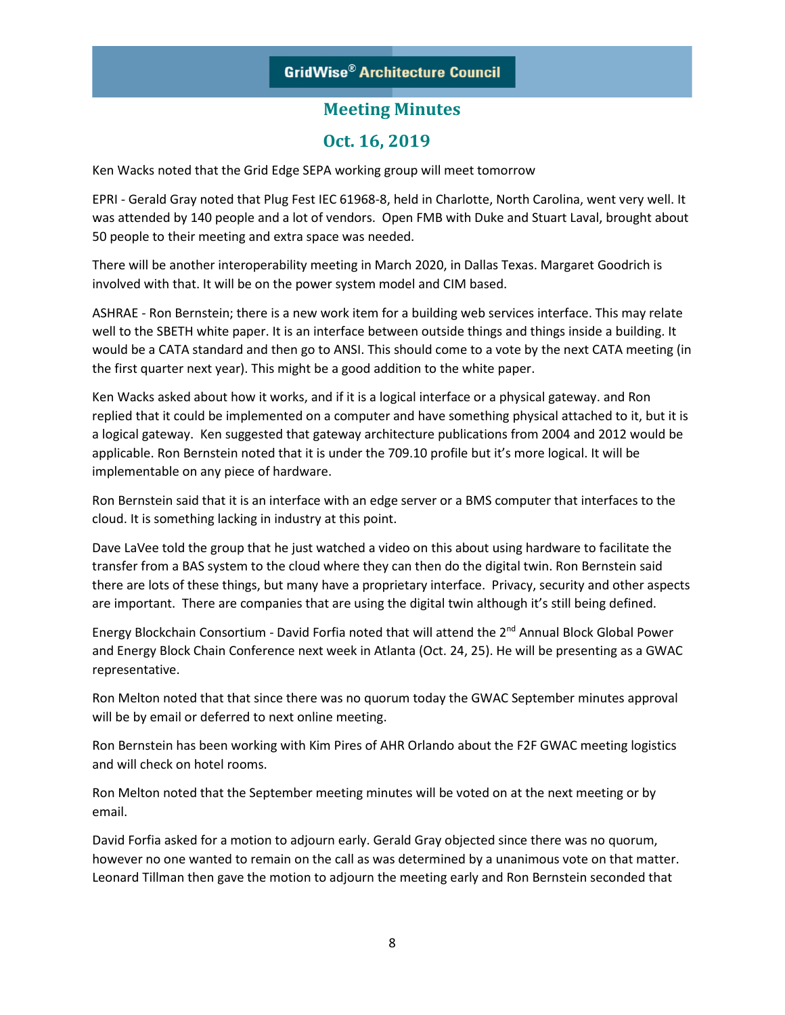## **Oct. 16, 2019**

Ken Wacks noted that the Grid Edge SEPA working group will meet tomorrow

EPRI - Gerald Gray noted that Plug Fest IEC 61968-8, held in Charlotte, North Carolina, went very well. It was attended by 140 people and a lot of vendors. Open FMB with Duke and Stuart Laval, brought about 50 people to their meeting and extra space was needed.

There will be another interoperability meeting in March 2020, in Dallas Texas. Margaret Goodrich is involved with that. It will be on the power system model and CIM based.

ASHRAE - Ron Bernstein; there is a new work item for a building web services interface. This may relate well to the SBETH white paper. It is an interface between outside things and things inside a building. It would be a CATA standard and then go to ANSI. This should come to a vote by the next CATA meeting (in the first quarter next year). This might be a good addition to the white paper.

Ken Wacks asked about how it works, and if it is a logical interface or a physical gateway. and Ron replied that it could be implemented on a computer and have something physical attached to it, but it is a logical gateway. Ken suggested that gateway architecture publications from 2004 and 2012 would be applicable. Ron Bernstein noted that it is under the 709.10 profile but it's more logical. It will be implementable on any piece of hardware.

Ron Bernstein said that it is an interface with an edge server or a BMS computer that interfaces to the cloud. It is something lacking in industry at this point.

Dave LaVee told the group that he just watched a video on this about using hardware to facilitate the transfer from a BAS system to the cloud where they can then do the digital twin. Ron Bernstein said there are lots of these things, but many have a proprietary interface. Privacy, security and other aspects are important. There are companies that are using the digital twin although it's still being defined.

Energy Blockchain Consortium - David Forfia noted that will attend the 2<sup>nd</sup> Annual Block Global Power and Energy Block Chain Conference next week in Atlanta (Oct. 24, 25). He will be presenting as a GWAC representative.

Ron Melton noted that that since there was no quorum today the GWAC September minutes approval will be by email or deferred to next online meeting.

Ron Bernstein has been working with Kim Pires of AHR Orlando about the F2F GWAC meeting logistics and will check on hotel rooms.

Ron Melton noted that the September meeting minutes will be voted on at the next meeting or by email.

David Forfia asked for a motion to adjourn early. Gerald Gray objected since there was no quorum, however no one wanted to remain on the call as was determined by a unanimous vote on that matter. Leonard Tillman then gave the motion to adjourn the meeting early and Ron Bernstein seconded that